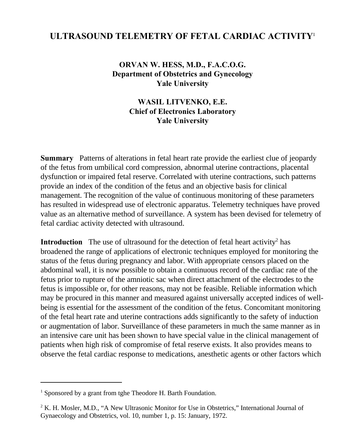## **ULTRASOUND TELEMETRY OF FETAL CARDIAC ACTIVITY**<sup>1</sup>

**ORVAN W. HESS, M.D., F.A.C.O.G. Department of Obstetrics and Gynecology Yale University**

> **WASIL LITVENKO, E.E. Chief of Electronics Laboratory Yale University**

**Summary** Patterns of alterations in fetal heart rate provide the earliest clue of jeopardy of the fetus from umbilical cord compression, abnormal uterine contractions, placental dysfunction or impaired fetal reserve. Correlated with uterine contractions, such patterns provide an index of the condition of the fetus and an objective basis for clinical management. The recognition of the value of continuous monitoring of these parameters has resulted in widespread use of electronic apparatus. Telemetry techniques have proved value as an alternative method of surveillance. A system has been devised for telemetry of fetal cardiac activity detected with ultrasound.

**Introduction** The use of ultrasound for the detection of fetal heart activity<sup>2</sup> has broadened the range of applications of electronic techniques employed for monitoring the status of the fetus during pregnancy and labor. With appropriate censors placed on the abdominal wall, it is now possible to obtain a continuous record of the cardiac rate of the fetus prior to rupture of the amniotic sac when direct attachment of the electrodes to the fetus is impossible or, for other reasons, may not be feasible. Reliable information which may be procured in this manner and measured against universally accepted indices of wellbeing is essential for the assessment of the condition of the fetus. Concomitant monitoring of the fetal heart rate and uterine contractions adds significantly to the safety of induction or augmentation of labor. Surveillance of these parameters in much the same manner as in an intensive care unit has been shown to have special value in the clinical management of patients when high risk of compromise of fetal reserve exists. It also provides means to observe the fetal cardiac response to medications, anesthetic agents or other factors which

<sup>&</sup>lt;sup>1</sup> Sponsored by a grant from tghe Theodore H. Barth Foundation.

<sup>&</sup>lt;sup>2</sup> K. H. Mosler, M.D., "A New Ultrasonic Monitor for Use in Obstetrics," International Journal of Gynaecology and Obstetrics, vol. 10, number 1, p. 15: January, 1972.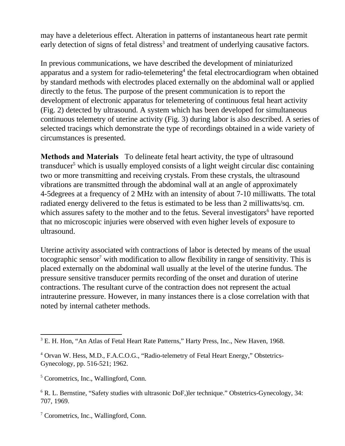may have a deleterious effect. Alteration in patterns of instantaneous heart rate permit early detection of signs of fetal distress<sup>3</sup> and treatment of underlying causative factors.

In previous communications, we have described the development of miniaturized apparatus and a system for radio-telemetering<sup>4</sup> the fetal electrocardiogram when obtained by standard methods with electrodes placed externally on the abdominal wall or applied directly to the fetus. The purpose of the present communication is to report the development of electronic apparatus for telemetering of continuous fetal heart activity (Fig. 2) detected by ultrasound. A system which has been developed for simultaneous continuous telemetry of uterine activity (Fig. 3) during labor is also described. A series of selected tracings which demonstrate the type of recordings obtained in a wide variety of circumstances is presented.

**Methods and Materials** To delineate fetal heart activity, the type of ultrasound transducer<sup>5</sup> which is usually employed consists of a light weight circular disc containing two or more transmitting and receiving crystals. From these crystals, the ultrasound vibrations are transmitted through the abdominal wall at an angle of approximately 4-5degrees at a frequency of 2 MHz with an intensity of about 7-10 milliwatts. The total radiated energy delivered to the fetus is estimated to be less than 2 milliwatts/sq. cm. which assures safety to the mother and to the fetus. Several investigators<sup>6</sup> have reported that no microscopic injuries were observed with even higher levels of exposure to ultrasound.

Uterine activity associated with contractions of labor is detected by means of the usual tocographic sensor<sup>7</sup> with modification to allow flexibility in range of sensitivity. This is placed externally on the abdominal wall usually at the level of the uterine fundus. The pressure sensitive transducer permits recording of the onset and duration of uterine contractions. The resultant curve of the contraction does not represent the actual intrauterine pressure. However, in many instances there is a close correlation with that noted by internal catheter methods.

<sup>&</sup>lt;sup>3</sup> E. H. Hon, "An Atlas of Fetal Heart Rate Patterns," Harty Press, Inc., New Haven, 1968.

<sup>&</sup>lt;sup>4</sup> Orvan W. Hess, M.D., F.A.C.O.G., "Radio-telemetry of Fetal Heart Energy," Obstetrics-Gynecology, pp. 516-521; 1962.

<sup>&</sup>lt;sup>5</sup> Corometrics, Inc., Wallingford, Conn.

<sup>&</sup>lt;sup>6</sup> R. L. Bernstine, "Safety studies with ultrasonic DoF, ler technique." Obstetrics-Gynecology, 34: 707, 1969.

<sup>7</sup> Corometrics, Inc., Wallingford, Conn.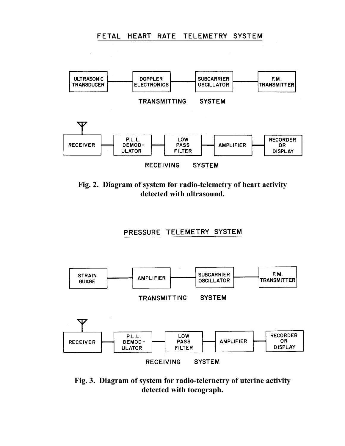## FETAL HEART RATE TELEMETRY SYSTEM



**Fig. 2. Diagram of system for radio-telemetry of heart activity detected with ultrasound.**

## PRESSURE TELEMETRY SYSTEM



**Fig. 3. Diagram of system for radio-telernetry of uterine activity detected with tocograph.**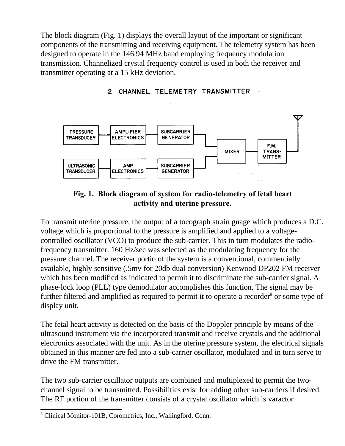The block diagram (Fig. 1) displays the overall layout of the important or significant components of the transmitting and receiving equipment. The telemetry system has been designed to operate in the 146.94 MHz band employing frequency modulation transmission. Channelized crystal frequency control is used in both the receiver and transmitter operating at a 15 kHz deviation.



2 CHANNEL TELEMETRY TRANSMITTER

## **Fig. 1. Block diagram of system for radio-telemetry of fetal heart activity and uterine pressure.**

To transmit uterine pressure, the output of a tocograph strain guage which produces a D.C. voltage which is proportional to the pressure is amplified and applied to a voltagecontrolled oscillator (VCO) to produce the sub-carrier. This in turn modulates the radiofrequency transmitter. 160 Hz/sec was selected as the modulating frequency for the pressure channel. The receiver portio of the system is a conventional, commercially available, highly sensitive (.5mv for 20db dual conversion) Kenwood DP202 FM receiver which has been modified as indicated to permit it to discriminate the sub-carrier signal. A phase-lock loop (PLL) type demodulator accomplishes this function. The signal may be further filtered and amplified as required to permit it to operate a recorder<sup>8</sup> or some type of display unit.

The fetal heart activity is detected on the basis of the Doppler principle by means of the ultrasound instrument via the incorporated transmit and receive crystals and the additional electronics associated with the unit. As in the uterine pressure system, the electrical signals obtained in this manner are fed into a sub-carrier oscillator, modulated and in turn serve to drive the FM transmitter.

The two sub-carrier oscillator outputs are combined and multiplexed to permit the twochannel signal to be transmitted. Possibilities exist for adding other sub-carriers if desired. The RF portion of the transmitter consists of a crystal oscillator which is varactor

<sup>8</sup> Clinical Monitor-101B, Corometrics, Inc., Wallingford, Conn.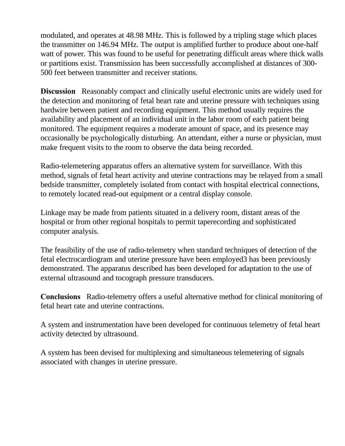modulated, and operates at 48.98 MHz. This is followed by a tripling stage which places the transmitter on 146.94 MHz. The output is amplified further to produce about one-half watt of power. This was found to be useful for penetrating difficult areas where thick walls or partitions exist. Transmission has been successfully accomplished at distances of 300- 500 feet between transmitter and receiver stations.

**Discussion** Reasonably compact and clinically useful electronic units are widely used for the detection and monitoring of fetal heart rate and uterine pressure with techniques using hardwire between patient and recording equipment. This method usually requires the availability and placement of an individual unit in the labor room of each patient being monitored. The equipment requires a moderate amount of space, and its presence may occasionally be psychologically disturbing. An attendant, either a nurse or physician, must make frequent visits to the room to observe the data being recorded.

Radio-telemetering apparatus offers an alternative system for surveillance. With this method, signals of fetal heart activity and uterine contractions may be relayed from a small bedside transmitter, completely isolated from contact with hospital electrical connections, to remotely located read-out equipment or a central display console.

Linkage may be made from patients situated in a delivery room, distant areas of the hospital or from other regional hospitals to permit taperecording and sophisticated computer analysis.

The feasibility of the use of radio-telemetry when standard techniques of detection of the fetal electrocardiogram and uterine pressure have been employed3 has been previously demonstrated. The apparatus described has been developed for adaptation to the use of external ultrasound and tocograph pressure transducers.

**Conclusions** Radio-telemetry offers a useful alternative method for clinical monitoring of fetal heart rate and uterine contractions.

A system and instrumentation have been developed for continuous telemetry of fetal heart activity detected by ultrasound.

A system has been devised for multiplexing and simultaneous telemetering of signals associated with changes in uterine pressure.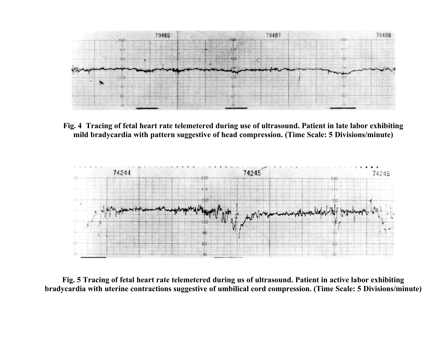

**Fig. 4 Tracing of fetal heart rate telemetered during use of ultrasound. Patient in late labor exhibiting mild bradycardia with pattern suggestive of head compression. (Time Scale: 5 Divisions/minute)**



**Fig. 5 Tracing of fetal heart rate telemetered during us of ultrasound. Patient in active labor exhibiting bradycardia with uterine contractions suggestive of umbilical cord compression. (Time Scale: 5 Divisions/minute)**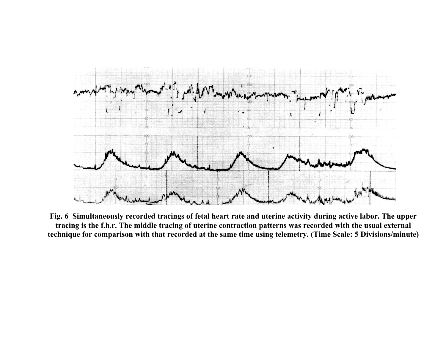

**Fig. 6 Simultaneously recorded tracings of fetal heart rate and uterine activity during active labor. The upper tracing is the f.h.r. The middle tracing of uterine contraction patterns was recorded with the usual external technique for comparison with that recorded at the same time using telemetry. (Time Scale: 5 Divisions/minute)**